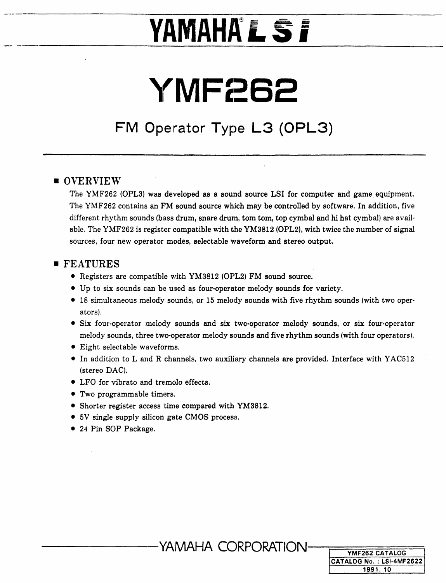# **YAMAHA'L ST**

# YMF262

# FM Operator Type L3 (OPL3)

### **OVERVIEW**

The YMF262 (OPL3) was developed as a sound source LSI for computer and game equipment. The YMF262 contains an FM sound source which may be controlled by software. In addition, five different rhythm sounds (bass drum, snare drum, tom tom, top cymbal and hi hat cymbal) are available. The YMF262 is register compatible with the YM3812 (OPL2), with twice the number of signal sources, four new operator modes, selectable waveform and stereo output.

## **FEATURES**

- Registers are compatible with YM3812 (OPL2) FM sound source.
- Up to six sounds can be used as four-operator melody sounds for variety.
- 18 simultaneous melody sounds, or 15 melody sounds with five rhythm sounds (with two operators).
- Six four-operator melody sounds and six two-operator melody sounds, or six four-operator melody sounds, three two-operator melody sounds and five rhythm sounds (with four operators).
- Eight selectable waveforms.
- In addition to L and R channels, two auxiliary channels are provided. Interface with YAC512 (stereo DAC).
- LFO for vibrato and tremolo effects.
- Two programmable timers.
- Shorter register access time compared with YM3812.
- 5V single supply silicon gate CMOS process.
- 24 Pin SOP Package.

YAMAHA CORPORATION

| YMF262 CATALOG           |
|--------------------------|
| CATALOG No.: LSI-4MF2622 |
| 1991.10                  |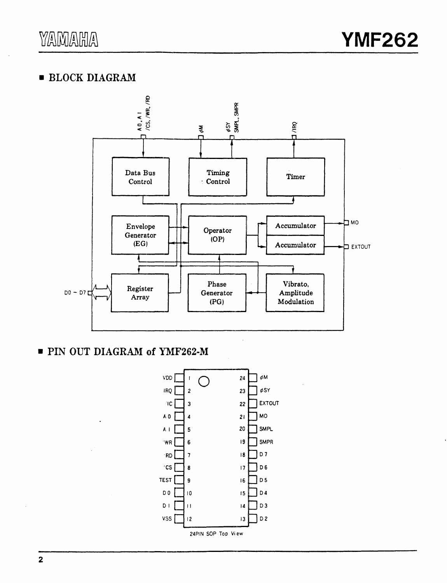## **BLOCK DIAGRAM**



PIN OUT DIAGRAM of YMF262-M

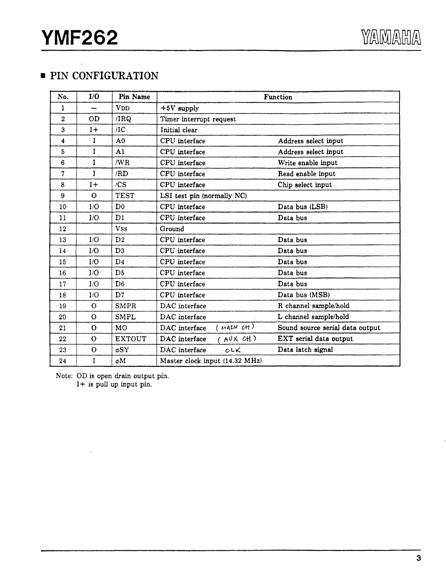# **• PIN CONFIGURATION**

| No.            | I/O          | Pin Name              |                                | Function                        |
|----------------|--------------|-----------------------|--------------------------------|---------------------------------|
| 1              |              | <b>V<sub>DD</sub></b> | $+5V$ supply                   |                                 |
| $\overline{2}$ | OD           | /IRQ                  | Timer interrupt request        |                                 |
| 3              | $1+$         | /IC                   | Initial clear                  |                                 |
| 4              | $\mathbf{I}$ | A <sub>0</sub>        | CPU interface                  | Address select input            |
| 5              | I            | A <sub>1</sub>        | CPU interface                  | Address select input            |
| 6              | T            | /WR                   | CPU interface                  | Write enable input              |
| 7              | $\mathbf{I}$ | /RD                   | CPU interface                  | Read enable input               |
| 8              | $1+$         | /CS                   | CPU interface                  | Chip select input               |
| 9              | $\mathbf{O}$ | <b>TEST</b>           | LSI test pin (normally NC)     |                                 |
| 10             | I/O          | D <sub>0</sub>        | CPU interface                  | Data bus (LSB)                  |
| 11             | I/O          | D1                    | CPU interface                  | Data bus                        |
| 12             |              | <b>VSS</b>            | Ground                         |                                 |
| 13             | I/O          | D2                    | CPU interface                  | Data bus                        |
| 14             | I/O          | D3                    | CPU interface                  | Data bus                        |
| 15             | I/O          | D <sub>4</sub>        | CPU interface                  | Data bus                        |
| 16             | I/O          | D <sub>5</sub>        | CPU interface                  | Data bus                        |
| 17             | I/O          | D <sub>6</sub>        | CPU interface                  | Data bus                        |
| 18             | I/O          | D7                    | CPU interface                  | Data bus (MSB)                  |
| 19             | $\Omega$     | <b>SMPR</b>           | DAC interface                  | R channel sample/hold           |
| 20             | $\Omega$     | <b>SMPL</b>           | DAC interface                  | L channel sample/hold           |
| 21             | $\Omega$     | MO                    | ( MAIN CH)<br>DAC interface    | Sound source serial data output |
| 22             | $\Omega$     | <b>EXTOUT</b>         | (AVXCH)<br>DAC interface       | EXT serial data output          |
| 23             | $\Omega$     | $\phi$ SY             | DAC interface<br>$c$ LK        | Data latch signal               |
| 24             | I            | øΜ                    | Master clock input (14.32 MHz) |                                 |

Note: OD is open drain output pin. I+ is pull up input pin.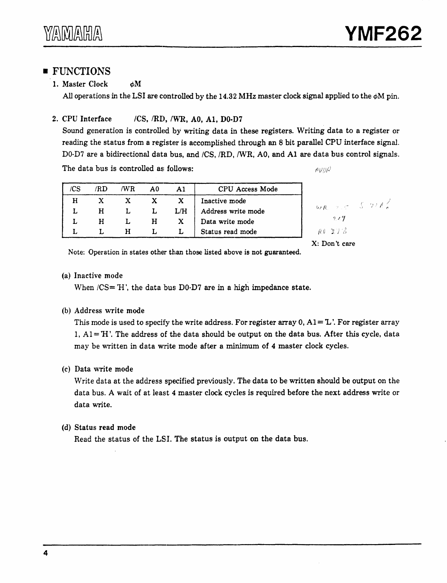# **FUNCTIONS**

#### 1. Master Clock % %

All operations in the LSI are controlled by the 14.32 MHz master clock signal applied to the  $\phi$ M pin.

#### 2. CPU Interface /CS, /RD, /WR, A0, A1, D0-D7

Sound generation is controlled by writing data in these registers. Writing data to a register or reading the status from a register is accomplished through an 8 bit parallel CPU interface signal. D0-D7 are a bidirectional data bus, and /CS, /RD, /WR, A0, and A1 are data bus control signals.

The data bus is controlled as follows:

 $AVUQ$ 

| /CS | /RD | /WR          | A0 | A1       | CPU Access Mode            |
|-----|-----|--------------|----|----------|----------------------------|
| н   |     | $\mathbf{x}$ |    | $X \t X$ | Inactive mode              |
|     | н   |              |    |          | $L/H$   Address write mode |
|     | H   |              |    |          | H X Data write mode        |
|     |     |              |    |          | Status read mode           |

X: Don't care

Note: Operation in states other than those listed above is not guaranteed.

#### (a) Inactive mode

When  $/CS = H'$ , the data bus D0 $\cdot$ D7 are in a high impedance state.

#### (b) Address write mode

This mode is used to specify the write address. For register array  $0, A1 = L'$ . For register array 1,  $AI=H'$ . The address of the data should be output on the data bus. After this cycle, data may be written in data write mode after a minimum of 4 master clock cycles.

#### (c) Data write mode

Write data at the address specified previously. The data to be written should be output on the data bus. A wait of at least 4 master clock cycles is required before the next address write or data write.

#### (d) Status read mode

Read the status of the LSI. The status is output on the data bus.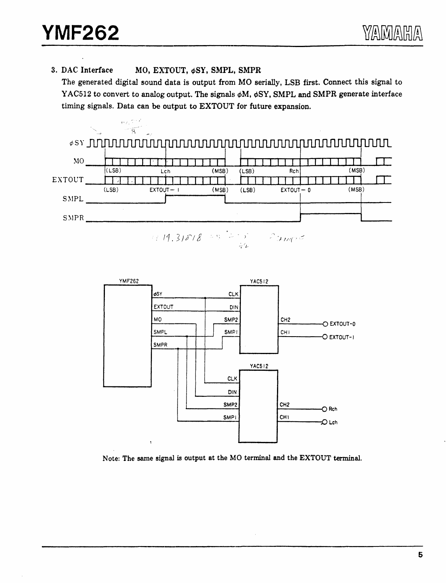3. DAC Interface MO, EXTOUT. øSY, SMPL, SMPR

The generated digital sound data is output from MO serially, LSB first. Connect this signal to YAC512 to convert to analog output. The signals  $\phi$ M,  $\phi$ SY, SMPL and SMPR generate interface timing signals. Data can be output to EXTOUT for future expansion.



<sup>11 14.31818 = 3 = 5 = 2</sup> mos



Note: The same signal is output at the MO terminal and the EXTOUT terminal.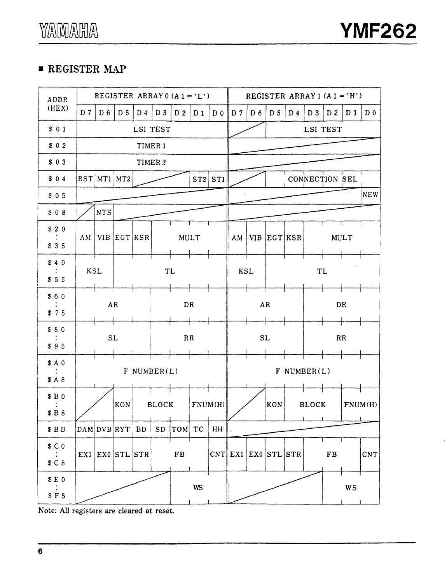# • REGISTER MAP

| ADDR                                      |                |                         |                |                |              | REGISTER ARRAY 0 $(A1 = 'L')$ |           |                |                 |           | REGISTER ARRAY1 $(A1 = 'H')$ |                |                |                |                |                |
|-------------------------------------------|----------------|-------------------------|----------------|----------------|--------------|-------------------------------|-----------|----------------|-----------------|-----------|------------------------------|----------------|----------------|----------------|----------------|----------------|
| (HEX)                                     | D <sub>7</sub> | D <sub>6</sub>          | D <sub>5</sub> | D <sub>4</sub> | $D_3$        | D2                            | $D_1$     | D <sub>0</sub> | $\parallel$ D 7 | $D_6$     | D <sub>5</sub>               | D <sub>4</sub> | $D_3$          | D <sub>2</sub> | D <sub>1</sub> | D <sub>0</sub> |
| \$01                                      |                |                         |                | LSI TEST       |              |                               |           |                |                 |           |                              |                | LSI TEST       |                |                |                |
| \$02                                      |                |                         |                | TIMER 1        |              |                               |           |                |                 |           |                              |                |                |                |                |                |
| \$03                                      |                |                         |                |                | TIMER 2      |                               |           |                |                 |           |                              |                |                |                |                |                |
| \$04                                      | RST            |                         | $MT1$ $MT2$    |                |              |                               |           | $ST2$ $ST1$    |                 |           |                              |                | CONNECTION SEL |                |                |                |
| \$05                                      |                |                         |                |                |              |                               |           |                |                 |           |                              |                |                |                |                | <b>NEW</b>     |
| \$08                                      |                | <b>NTS</b>              |                |                |              |                               |           |                |                 |           |                              |                |                |                |                |                |
| \$20<br>\$35                              | AM             |                         | VIB EGT KSR    |                |              |                               | MULT      |                | AM              |           | VIB EGT KSR                  |                |                |                | <b>MULT</b>    |                |
| \$40<br>\$55                              | <b>KSL</b>     | i.                      |                |                | <b>TL</b>    |                               |           |                | <b>KSL</b>      |           |                              |                | <b>TL</b>      |                |                |                |
| \$60<br>\$75                              |                |                         | AR             |                |              | DR                            |           |                |                 |           | <b>AR</b>                    |                |                |                | DR             |                |
| \$80<br>\$95                              |                | <b>SL</b>               |                |                |              | RR                            |           |                |                 | <b>SL</b> |                              |                |                |                | RR             |                |
| \$A0<br>\$A8                              |                |                         |                | $F$ NUMBER(L)  |              |                               |           |                |                 |           |                              |                | $F$ NUMBER(L)  |                |                |                |
| \$B0<br>\$B8                              |                |                         | KON            |                | <b>BLOCK</b> |                               |           | FNUM(H)        |                 |           | KON                          |                | <b>BLOCK</b>   |                |                | FNUM(H)        |
| $\$$ B $\mathbb D$                        |                | DAM DVB RYT             |                | ${\bf BD}$     | ${\tt SD}$   | TOM TC                        |           | HH             |                 |           |                              |                |                |                |                |                |
| \$C <sub>0</sub><br>\$ C 8                |                | $EX1$ $EX0$ $STL$ $STR$ |                |                |              | ${\rm FB}$                    |           |                |                 |           | CNT  EX1 EX0 STL STR         |                |                | $\mathbf{FB}$  |                | <b>CNT</b>     |
| $E0$<br>$F5$                              |                |                         |                |                |              |                               | <b>WS</b> |                |                 |           |                              |                |                |                | <b>WS</b>      |                |
| Note: All registers are cleared at reset. |                |                         |                |                |              |                               |           |                |                 |           |                              |                |                |                |                |                |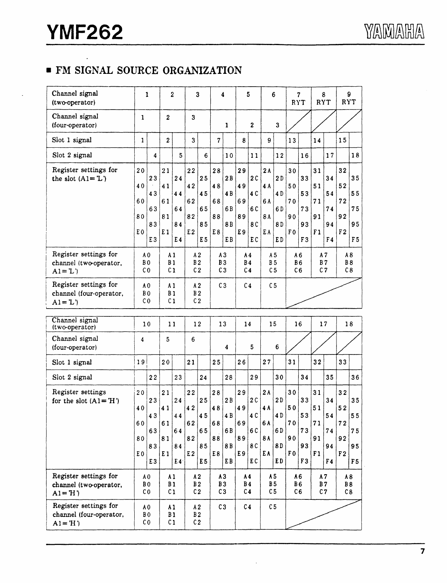# **• FM SIGNAL SOURCE ORGANIZATION**

| Channel signal<br>(two-operator)                              |                                                    | 1                                                  |                                                    | 2                          |                                                    | 3                                      |                                        | 4                                       |                                               | 5                              |                                               | 6                             | RYT                                    | 7                                      | RYT                               | 8                          | 9<br>RYT                               |                                        |
|---------------------------------------------------------------|----------------------------------------------------|----------------------------------------------------|----------------------------------------------------|----------------------------|----------------------------------------------------|----------------------------------------|----------------------------------------|-----------------------------------------|-----------------------------------------------|--------------------------------|-----------------------------------------------|-------------------------------|----------------------------------------|----------------------------------------|-----------------------------------|----------------------------|----------------------------------------|----------------------------------------|
| Channel signal<br>(four-operator)                             | 1                                                  |                                                    | $\boldsymbol{2}$                                   |                            | 3                                                  |                                        |                                        | $\mathbf{1}$                            |                                               | $\mathbf{2}$                   |                                               | 3                             |                                        |                                        |                                   |                            |                                        |                                        |
| Slot 1 signal                                                 | $\mathbf{1}$                                       |                                                    | $\boldsymbol{2}$                                   |                            | 3                                                  |                                        | $\overline{7}$                         |                                         | 8                                             |                                | 9                                             |                               | 13                                     |                                        | 14                                |                            | 15                                     |                                        |
| Slot 2 signal                                                 |                                                    | $\overline{\bf 4}$                                 |                                                    | 5                          |                                                    | 6                                      |                                        | 10                                      |                                               | 11                             |                                               | 12                            |                                        | 16                                     |                                   | 17                         |                                        | 18                                     |
| Register settings for<br>the slot $(A1 = L')$                 | 20<br>40<br>60<br>80<br>E <sub>0</sub>             | 23<br>43<br>63<br>83<br>E <sub>3</sub>             | 21<br>41<br>61<br>81<br>E <sub>1</sub>             | 24<br>44<br>64<br>84<br>E4 | 22<br>42<br>62<br>82<br>E <sub>2</sub>             | 25<br>45<br>65<br>85<br>E <sub>5</sub> | 28<br>48<br>68<br>88<br>E8             | 2B<br>4 <sub>B</sub><br>6B<br>8B<br>E B | 29<br>49<br>69<br>89<br>E9                    | 2C<br>4 C<br>6 C<br>8 C<br>E C | 2A<br>4 A<br>6 A<br>8 A<br>E A                | 2D<br>4D<br>6D<br>8D<br>ED    | 30<br>50<br>70<br>90<br>F <sub>0</sub> | 33<br>53<br>73<br>93<br>F <sub>3</sub> | 31<br>51<br>71<br>91<br>F1        | 34<br>54<br>74<br>94<br>F4 | 32<br>52<br>72<br>92<br>F <sub>2</sub> | 35<br>55<br>75<br>95<br>F <sub>5</sub> |
| Register settings for<br>channel (two-operator,<br>$A1 = L$ ) | A <sub>0</sub><br>B <sub>0</sub><br>C <sub>0</sub> |                                                    | A <sub>1</sub><br>B <sub>1</sub><br>C <sub>1</sub> |                            | A2<br>B <sub>2</sub><br>C <sub>2</sub>             |                                        | A3<br>B <sub>3</sub><br>C <sub>3</sub> |                                         | A <sub>4</sub><br><b>B4</b><br>C <sub>4</sub> |                                | A <sub>5</sub><br><b>B5</b><br>C <sub>5</sub> |                               | A6                                     | <b>B6</b><br>C <sub>6</sub>            | A7<br><b>B7</b><br>C <sub>7</sub> |                            | A8<br><b>B8</b><br>C8                  |                                        |
| Register settings for<br>channel (four-operator,<br>$A1 = L'$ | A <sub>0</sub><br>B <sub>0</sub><br>CO             |                                                    | A <sub>1</sub><br>B <sub>1</sub><br>C <sub>1</sub> |                            | A <sub>2</sub><br>B <sub>2</sub><br>C <sub>2</sub> |                                        | C <sub>3</sub>                         |                                         | C <sub>4</sub>                                |                                | C <sub>5</sub>                                |                               |                                        |                                        |                                   |                            |                                        |                                        |
| Channel signal<br>(two-operator)                              |                                                    | 10                                                 | 11                                                 |                            | 12                                                 |                                        | 13                                     |                                         | 14                                            |                                | 15                                            |                               |                                        | 16                                     | 17                                |                            | 18                                     |                                        |
| Channel signal<br>(four-operator)                             | 4                                                  |                                                    | 5                                                  |                            | 6                                                  |                                        |                                        | 4                                       |                                               | 5                              |                                               | 6                             |                                        |                                        |                                   |                            |                                        |                                        |
| Slot 1 signal                                                 | 19                                                 |                                                    | 20                                                 |                            | 21                                                 |                                        | 25                                     |                                         | 26                                            |                                | 27                                            |                               | 31                                     |                                        | 32                                |                            | 33                                     |                                        |
| Slot 2 signal                                                 |                                                    | 22                                                 |                                                    | 23                         |                                                    | 24                                     |                                        | 28                                      |                                               | 29                             |                                               | 30                            |                                        | 34                                     |                                   | 35                         |                                        | 36                                     |
| Register settings<br>for the slot $(A1 = H')$                 | 20<br>40<br>60<br>80<br>E <sub>0</sub>             | 23<br>43<br>63<br>83<br>E <sub>3</sub>             | 21<br>41<br>61<br>81<br>E1                         | 24<br>44<br>64<br>84<br>E4 | 22<br>42<br>62<br>82<br>E2                         | 25<br>45<br>65<br>85<br>E <sub>5</sub> | 28<br>48<br>68<br>88<br>E8             | 2B<br>4 B<br>6B<br>8B<br>E B            | 29<br>49<br>69<br>89<br>E9                    | 2C<br>4 C<br>6 C<br>8 C<br>E C | 2A<br>4A<br>6 A<br>8A<br>E A                  | 2D<br>4 D<br>6 D<br>8D<br>E D | 30<br>50<br>70<br>90<br>F <sub>0</sub> | 33<br>53<br>73<br>93<br>F <sub>3</sub> | 31<br>51<br>71<br>91<br>F1        | 34<br>54<br>74<br>94<br>F4 | 32<br>52<br>72<br>92<br>F <sub>2</sub> | 35<br>55<br>75<br>95<br>F <sub>5</sub> |
| Register settings for<br>channel (two-operator,<br>$A1 = H$   |                                                    | A <sub>0</sub><br>B <sub>0</sub><br>C <sub>0</sub> | A <sub>1</sub><br><b>B1</b>                        | C <sub>1</sub>             | A2<br><b>B2</b><br>C <sub>2</sub>                  |                                        | A3<br>B <sub>3</sub><br>C3             |                                         | A <sub>4</sub><br><b>B4</b><br>C <sub>4</sub> |                                | A5<br><b>B5</b><br>C <sub>5</sub>             |                               |                                        | A6<br><b>B6</b><br>C6                  | A7<br>$\,$ B $\,$ 7 $\,$<br>C7    |                            | A8<br><b>B</b> 8<br>C8                 |                                        |
|                                                               |                                                    |                                                    |                                                    |                            |                                                    |                                        |                                        |                                         |                                               |                                |                                               |                               |                                        |                                        |                                   |                            |                                        |                                        |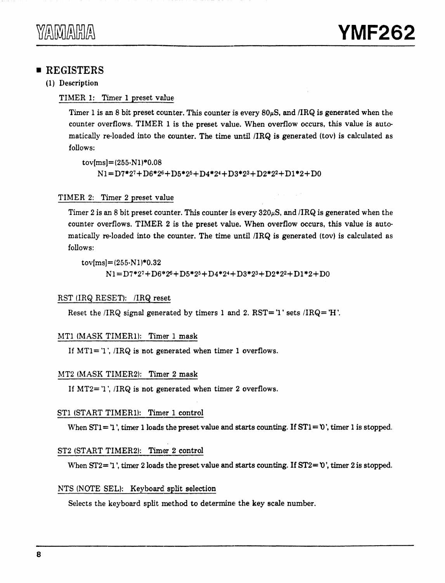## **• REGISTERS**

(1) Description

#### TIMER 1: Timer 1 preset value

Timer 1 is an 8 bit preset counter. This counter is every  $80\mu$ S, and /IRQ is generated when the counter overflows. TIMER 1 is the preset value. When overflow occurs, this value is automatically re-loaded into the counter. The time until  $/IRQ$  is generated (tov) is calculated as follows:

 $\text{tov}[m\text{s}]=(255\text{-}N1)*0.08$  $N1=D7*27+D6*26+D5*25+D4*24+D3*23+D2*22+D1*2+D0$ 

#### TIMER 2: Timer 2 preset value

Timer 2 is an 8 bit preset counter. This counter is every  $320\mu S$ , and /IRQ is generated when the counter overflows. TIMER 2 is the preset value. When overflow occurs, this value is automatically re-loaded into the counter. The time until  $/IRQ$  is generated (tov) is calculated as follows:

 $\text{tov}[m\text{s}] = (255 \cdot \text{N1}) * 0.32$  $N1 = D7*27+D6*26+D5*25+D4*24+D3*23+D2*22+D1*2+D0$ 

#### RST URQ RESET): /IRQ reset

Reset the  $/IRQ$  signal generated by timers 1 and 2. RST= 'l' sets  $/IRQ= H'$ .

#### MT1 (MASK TIMER1): Timer 1 mask

If  $MT1 = '1'$ , /IRQ is not generated when timer 1 overflows.

#### MT2 (MASK TIMER2): Timer 2 mask

If  $MT2 = 1$ ', /IRQ is not generated when timer 2 overflows.

#### ST1 (START TIMER1): Timer 1 control

When  $ST1 = 1$ , timer 1 loads the preset value and starts counting. If  $ST1 = 0$ , timer 1 is stopped.

#### ST2 (START TIMER2): Timer 2 control

When  $ST2 = 1$ ', timer 2 loads the preset value and starts counting. If  $ST2 = 0$ ', timer 2 is stopped.

#### NTS (NOTE SEL): Keyboard split selection

Selects the keyboard split method to determine the key scale number.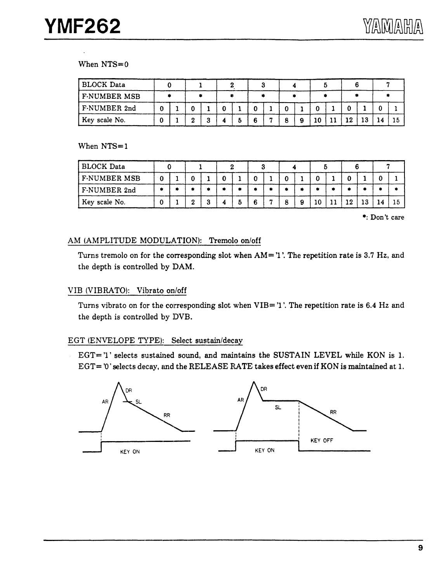#### When NTS=O

| <b>BLOCK Data</b>   |  |  |  |  |  |  |    |    |  |
|---------------------|--|--|--|--|--|--|----|----|--|
| <b>F-NUMBER MSB</b> |  |  |  |  |  |  |    |    |  |
| F-NUMBER 2nd        |  |  |  |  |  |  |    |    |  |
| Key scale No.       |  |  |  |  |  |  | 12 | 13 |  |

When NTS=1

| <b>BLOCK Data</b>   |    |   |   |  |   |   |   |    |    |    |    |                         |    |
|---------------------|----|---|---|--|---|---|---|----|----|----|----|-------------------------|----|
| <b>F-NUMBER MSB</b> | ∸0 |   |   |  |   |   |   |    |    |    |    |                         |    |
| F-NUMBER 2nd        |    | ۰ |   |  |   | ۰ |   |    | ۰  |    |    |                         | ۰  |
| Key scale No.       |    |   | ົ |  | 6 | m | 9 | 10 | 11 | 12 | 13 |                         | 15 |
|                     |    |   |   |  |   |   |   |    |    |    |    | $\bullet$ . Davit again |    |

\*: Don't care

#### AM (AMPLITUDE MODULATION): Tremolo on/off

Turns tremolo on for the corresponding slot when  $AM = 'l'$ . The repetition rate is 3.7 Hz, and the depth is controlled by DAM.

#### VIB (VIBRATO): Vibrato on/off

Tums vibrato on for the corresponding slot when VIB= '1 '.The repetition rate is 6.4 Hz and the depth is controlled by DVB.

#### EGT (ENVELOPE TYPE): Select sustain/decay

 $EGT = 'l'$  selects sustained sound, and maintains the SUSTAIN LEVEL while KON is 1. EGT= '0' selects decay, and the RELEASE RATE takes effect even if KON is maintained at 1.

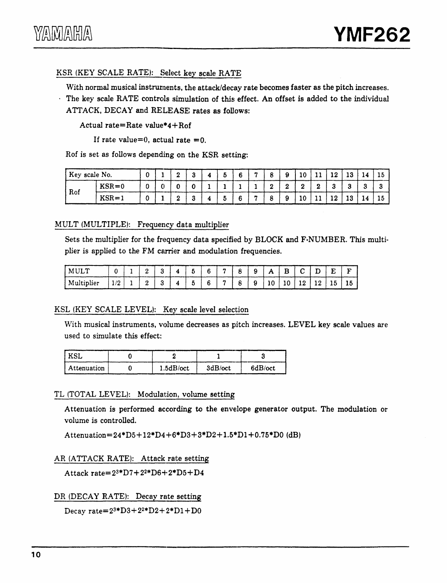# YZAMZAHZ

#### KSR (KEY SCALE RATE): Select key scale RATE

With normal musical instruments, the attack/decay rate becomes faster as the pitch increases.

The key scale RATE controls simulation of this effect. An offset is added to the individual ATTACK, DECAY and RELEASE rates as follows:

Actual rate=Rate value\*4+ Rof

If rate value=0, actual rate =0.

Rof is set as follows depending on the KSR setting:

| Key scale No. |           |          |  |  |  |  | πn | -11                   | 12 |     | 10 |
|---------------|-----------|----------|--|--|--|--|----|-----------------------|----|-----|----|
| Rof           | $KSR = 0$ | ________ |  |  |  |  |    | $\mathbf{\mathbf{a}}$ |    |     |    |
|               | $KSR = 1$ |          |  |  |  |  | 10 | . .                   | 12 | 13. | 10 |

#### MULT (MULTIPLE): Frequency data multiplier

Sets the multiplier for the frequency data specified by BLOCK and F-NUMBER. This multiplier is applied to the FM carrier and modulation frequencies.

| I MULT       |     | ⊷ | ີ      | đ  | 6 | $\mathbf{r}$ | $\circ$<br>O | 9 | A  |    |    |    | Е  | ∽  |
|--------------|-----|---|--------|----|---|--------------|--------------|---|----|----|----|----|----|----|
| ' Multiplier | 1/2 | 2 | Ω<br>ω | -5 | 6 | $\mathbf{r}$ | 8            | 9 | 10 | 10 | 12 | 12 | 15 | 10 |

#### KSL (KEY SCALE LEVEL): Key scale level selection

With musical instruments, volume decreases as pitch increases. LEVEL key scale values are used to simulate this effect:

| ' KSL         |           |         |         |
|---------------|-----------|---------|---------|
| l Attenuation | 1.5dB/oct | 3dB/oct | 6dB/oct |

#### TL (TOTAL LEVEL): Modulation, volume setting

Attenuation is performed according to the envelope generator output. The modulation or volume is controlled.

Attenuation=24\*D5+ 12\*D4+6\*D3+3\*D2+ l.5\*Dl +0.75\*DO (dB)

AR (ATTACK RATE): Attack rate setting

Attack rate= $2^{3*}D7+2^{2*}D6+2^*D5+D4$ 

DR (DECAY RATE): Decay rate setting

Decay rate= $2^{3*}D3+2^{2*}D2+2*D1+D0$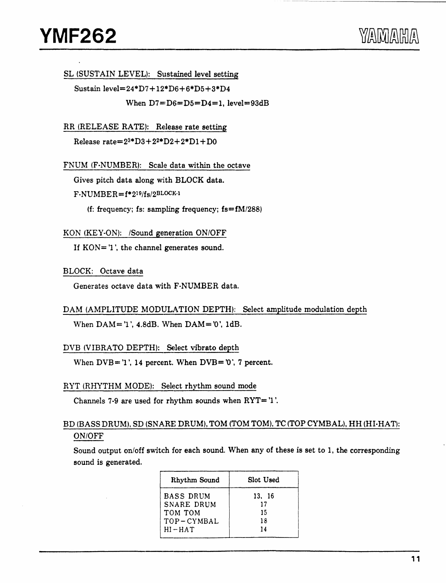SL (SUSTAIN LEVEL): Sustained level setting

Sustain level=24•D7+12\*D6+6\*D5+3•D4 When  $D7=D6=D5=D4=1$ , level=93dB

RR (RELEASE RATE): Release rate setting

Release  $rate=2^{3*}D3+2^{2*}D2+2*D1+D0$ 

FNUM (F-NUMBER): Scale data within the octave

Gives pitch data along with BLOCK data.

F-NUMBER=f\*219/fs/2BLOCK·l

(f: frequency; fs: sampling frequency;  $fs=fM/288$ )

KON (KEY-ON): /Sound generation ON/OFF

If  $KON = '1'$ , the channel generates sound.

BLOCK: Octave data

Generates octave data with F-NUMBER data.

```
DAM (AMPLITUDE MODULATION DEPTH): Select amplitude modulation depth
```
When  $DAM = '1$ ', 4.8dB. When  $DAM = '0'$ , 1dB.

DVB (VIBRATO DEPTH): Select vibrato depth

When  $DVB = '1'$ , 14 percent. When  $DVB = '0'$ , 7 percent.

#### RYT (RHYTHM MODE): Select rhythm sound mode

Channels 7-9 are used for rhythm sounds when  $\text{RYT} = '1'.$ 

#### BD (BASS DRUM), SD (SNARE DRUM), TOM (TOM TOM), TC (TOP CYMBAL), HH (HI-HAT): ON/OFF

Sound output on/off switch for each sound. When any of these is set to 1, the corresponding sound is generated.

| Rhythm Sound     | Slot Used |
|------------------|-----------|
| <b>BASS DRUM</b> | 13. 16    |
| SNARE DRUM       | 17        |
| TOM TOM          | 15        |
| $TOP-CYMBAL$     | 18        |
| $HI-HAT$         | 14        |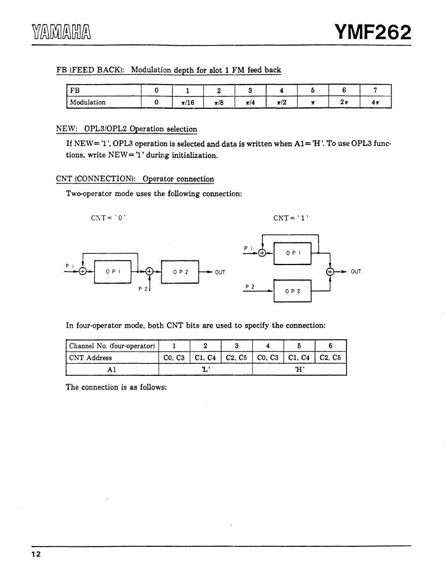#### FB (FEED BACK): Modulation depth for slot 1 FM feed back

| <b>DD</b><br>Đ |                        |                                                                                                                                                                                                                                            |         |         |  |     |
|----------------|------------------------|--------------------------------------------------------------------------------------------------------------------------------------------------------------------------------------------------------------------------------------------|---------|---------|--|-----|
| Modulation     | $\mathbf{a}$<br>71 L O | m<br>π/δ<br>the contract of the contract of the contract of the contract of the contract of the contract of the contract of the contract of the contract of the contract of the contract of the contract of the contract of the contract o | $\pi/4$ | $\pi/2$ |  | т н |

#### NEW: OPL3/0PL2 Operation selection

If  $NEW = 'l'$ , OPL3 operation is selected and data is written when  $AI = H'$ . To use OPL3 functions, write NEW= 'l' during initialization.

#### CNT (CONNECTION): Operator connection

Two-operator mode uses the following connection:



In four-operator mode, both CNT bits are used to specify the connection:

| Channel No. (four-operator) |  |  |  |                                                     |  |
|-----------------------------|--|--|--|-----------------------------------------------------|--|
| CNT Address                 |  |  |  | Co, C3   C1, C4   C2, C5   C0, C3   C1, C4   C2, C5 |  |
|                             |  |  |  | Ή                                                   |  |

The connection is as follows: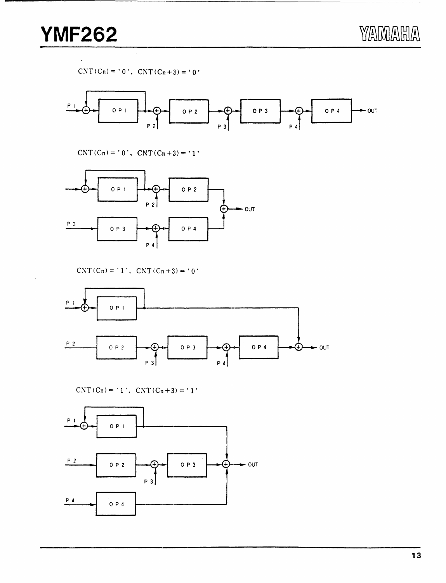YAMAHA

 $CNT(Cn) = '0'$ .  $CNT(Cn+3) = '0'$ 



 $CNT(Cn) = '0', CNT(Cn+3) = '1'$ 



 $CNT(Cn) = '1'.$   $CNT(Cn+3) = '0'.$ 



 $CNT(Cn) = '1', CNT(Cn + 3) = '1'$ 

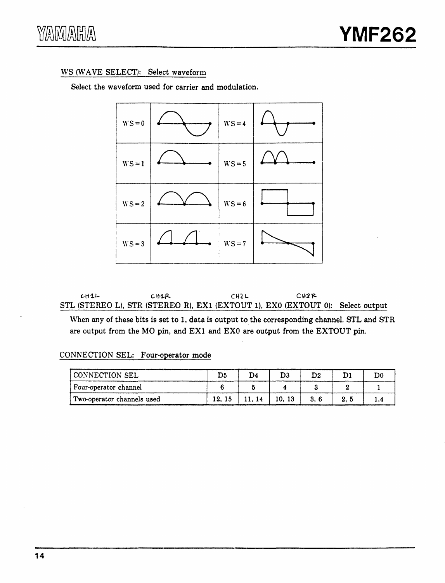#### WS (WAVE SELECT): Select waveform

Select the waveform used for carrier and modulation.



CH1L ... CH1R ... CH2L ... CH2R STL (STEREO L), STR (STEREO R), EXl (EXTOUT 1), EXO (EXTOUT 0): Select output

When any of these bits is set to 1, data is output to the corresponding channel. STL and STR are output from the MO pin, and EX1 and EX0 are output from the EXTOUT pin.

#### CONNECTION SEL: Four-operator mode

| CONNECTION SEL             | D5    | D4    | D3    | $\mathbf{D}2$ | ות  |  |
|----------------------------|-------|-------|-------|---------------|-----|--|
| Four-operator channel      |       |       |       |               |     |  |
| Two-operator channels used | 12.15 | 11.14 | 10.13 | 3.6           | 2.5 |  |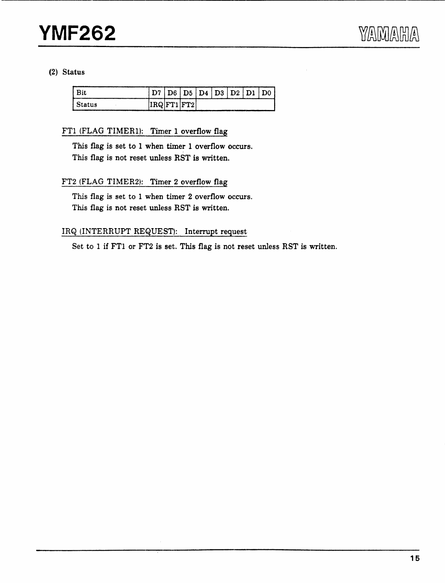#### (2) Status

|        | D6. | $\mathbf{D5}$ |  | D4   D3   D2   D1 | D0 |
|--------|-----|---------------|--|-------------------|----|
| Status |     | IRQ FT1 FT2   |  |                   |    |

#### FTl (FLAG TIMERl): Timer 1 overflow flag

This flag is set to 1 when timer 1 overflow occurs. This flag is not reset unless RST is written.

#### FT2 (FLAG TIMER2): Timer 2 overflow flag

This flag is set to 1 when timer 2 overflow occurs. This flag is not reset unless RST is written.

#### IRQ (INTERRUPT REQUEST): Interrupt request

Set to 1 if FTl or FT2 is set. This flag is not reset unless RST is written.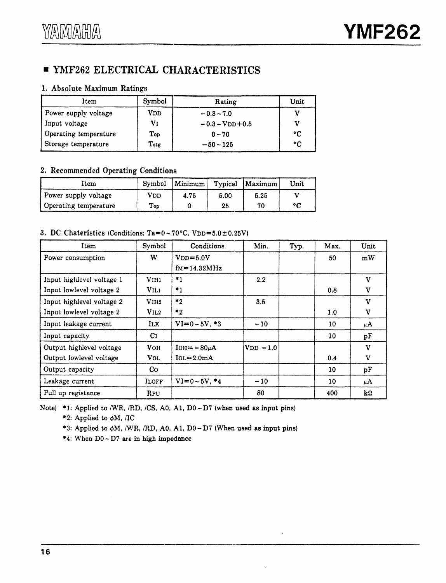# • YMF262 ELECTRICAL CHARACTERISTICS

#### 1. Absolute Maximum Ratings

| Item                  | Symbol | Rating             | Unit            |
|-----------------------|--------|--------------------|-----------------|
| Power supply voltage  | VDD    | $-0.3 - 7.0$       |                 |
| Input voltage         | Vī     | $-0.3 - VDD + 0.5$ |                 |
| Operating temperature | Top    | $0 - 70$           | ۰c              |
| Storage temperature   | Tstg   | $-50 - 125$        | $\rm ^{\circ}C$ |

#### 2. Recommended Operating Conditions

| Item                  |                      | Symbol   Minimum |      | Typical Maximum | Unit |
|-----------------------|----------------------|------------------|------|-----------------|------|
| Power supply voltage  | VDD                  | 4.75             | 5.00 | 5.25            |      |
| Operating temperature | $\Gamma_{\text{op}}$ |                  | 25   | 70              | ۰ς   |

#### 3. DC Chateristics (Conditions;  $Ta=0-70°C$ ,  $VDD=5.0 \pm 0.25V$ )

| Item                      | Symbol           | Conditions        | Min.             | Typ. | Max. | Unit         |
|---------------------------|------------------|-------------------|------------------|------|------|--------------|
| Power consumption         | W                | $VDD=5.0V$        |                  |      | 50   | mW           |
|                           |                  | $fM = 14.32 MHz$  |                  |      |      |              |
| Input highlevel voltage 1 | V <sub>IH1</sub> | $^*1$             | $2.2\,$          |      |      | $\mathbf{v}$ |
| Input lowlevel voltage 2  | VIL1             | *1                |                  |      | 0.8  | $\mathbf v$  |
| Input highlevel voltage 2 | V <sub>1H2</sub> | $^*2$             | 3.5              |      |      | $\mathbf v$  |
| Input lowlevel voltage 2  | V1L2             | $^*2$             |                  |      | 1.0  | v            |
| Input leakage current     | ILK.             | $VI = 0 - 5V, *3$ | $-10$            |      | 10   | μA           |
| Input capacity            | C <sub>I</sub>   |                   |                  |      | 10   | рF           |
| Output highlevel voltage  | <b>VOH</b>       | $IOH = -80\mu A$  | $ V_{DD} - 1.0 $ |      |      | $\mathbf v$  |
| Output lowlevel voltage   | <b>VOL</b>       | $IoL = 2.0mA$     |                  |      | 0.4  | V            |
| Output capacity           | Co.              |                   |                  |      | 10   | pF           |
| Leakage current           | ILOFF            | $VI = 0 - 5V, *4$ | $-10$            |      | 10   | μA           |
| Pull up registance        | <b>RPU</b>       |                   | 80               |      | 400  | kΩ           |

Note) \*1: Applied to /WR, /RD, /CS, A0, A1, D0 ~ D7 (when used as input pins)

\*2: Applied to  $\phi$ M, /IC

\*3: Applied to ¢M, /WR, /RD, AO, Al, DO-D7 (When used as input pins)

\*4: When DO-D7 are in high impedance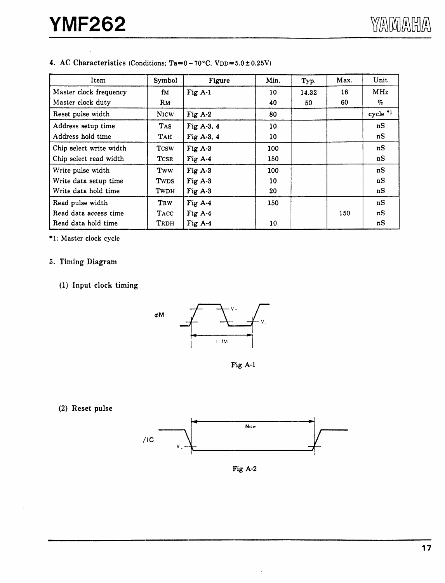| Item                    | Symbol      | Figure       | Min.            | Typ.  | Max. | Unit                  |
|-------------------------|-------------|--------------|-----------------|-------|------|-----------------------|
| Master clock frequency  | ſм          | Fig $A-1$    | 10              | 14.32 | 16   | MHz                   |
| Master clock duty       | Rм          |              | 40              | 50    | 60   | $\%$                  |
| Reset pulse width       | <b>NICW</b> | Fig $A-2$    | 80              |       |      | $cycle$ <sup>*1</sup> |
| Address setup time      | TAS.        | Fig A-3, 4   | 10 <sup>°</sup> |       |      | nS                    |
| Address hold time       | Тан         | Fig A-3, $4$ | 10              |       |      | nS                    |
| Chip select write width | <b>TCSW</b> | Fig $A-3$    | 100             |       |      | nS                    |
| Chip select read width  | <b>TCSR</b> | Fig $A-4$    | 150             |       |      | nS                    |
| Write pulse width       | Tww         | Fig $A-3$    | 100             |       |      | nS                    |
| Write data setup time   | Twps        | Fig $A-3$    | 10              |       |      | nS                    |
| Write data hold time    | TWDH        | Fig $A-3$    | 20              |       |      | nS                    |
| Read pulse width        | TRW         | Fig A-4      | 150             |       |      | nS                    |
| Read data access time   | <b>TACC</b> | Fig $A-4$    |                 |       | 150  | nS                    |
| Read data hold time     | TRDH        | Fig $A-4$    | 10              |       |      | nS                    |

#### 4. AC Characteristics (Conditions;  $Ta=0-70^{\circ}C$ ,  $VDD=5.0 \pm 0.25V$ )

\*l: Master clock cycle

#### 5. Timing Diagram

#### (1) Input clock timing



Fig A-1

#### (2) Reset pulse



Fig A·2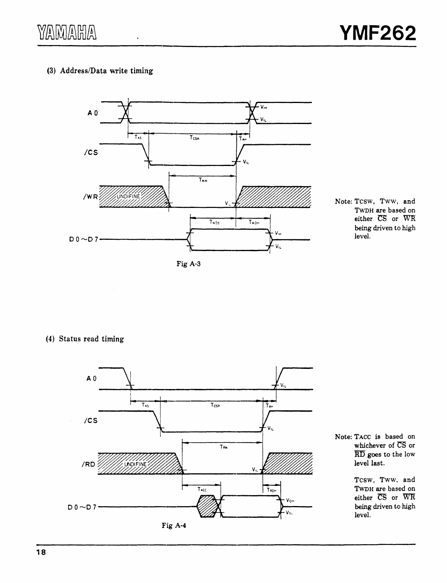#### (3) Address/Data write timing



Fig A·3

(4) Status read timing



Note: TACC is based on whichever of CS or RD goes to the low level last.

> Tcsw, Tww, and TwDH are based on either CS or WR being driven to high level.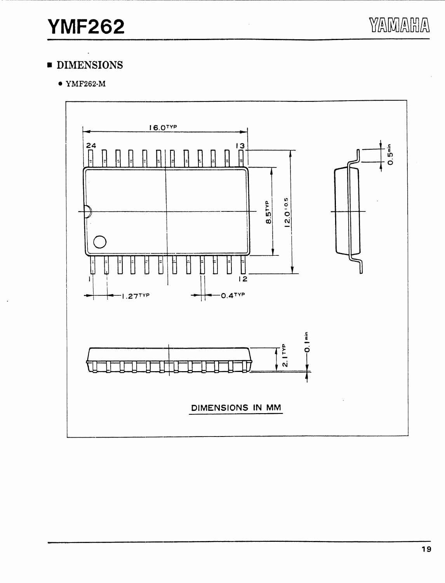# $\bullet$  DIMENSIONS

 $\bullet$  YMF262-M